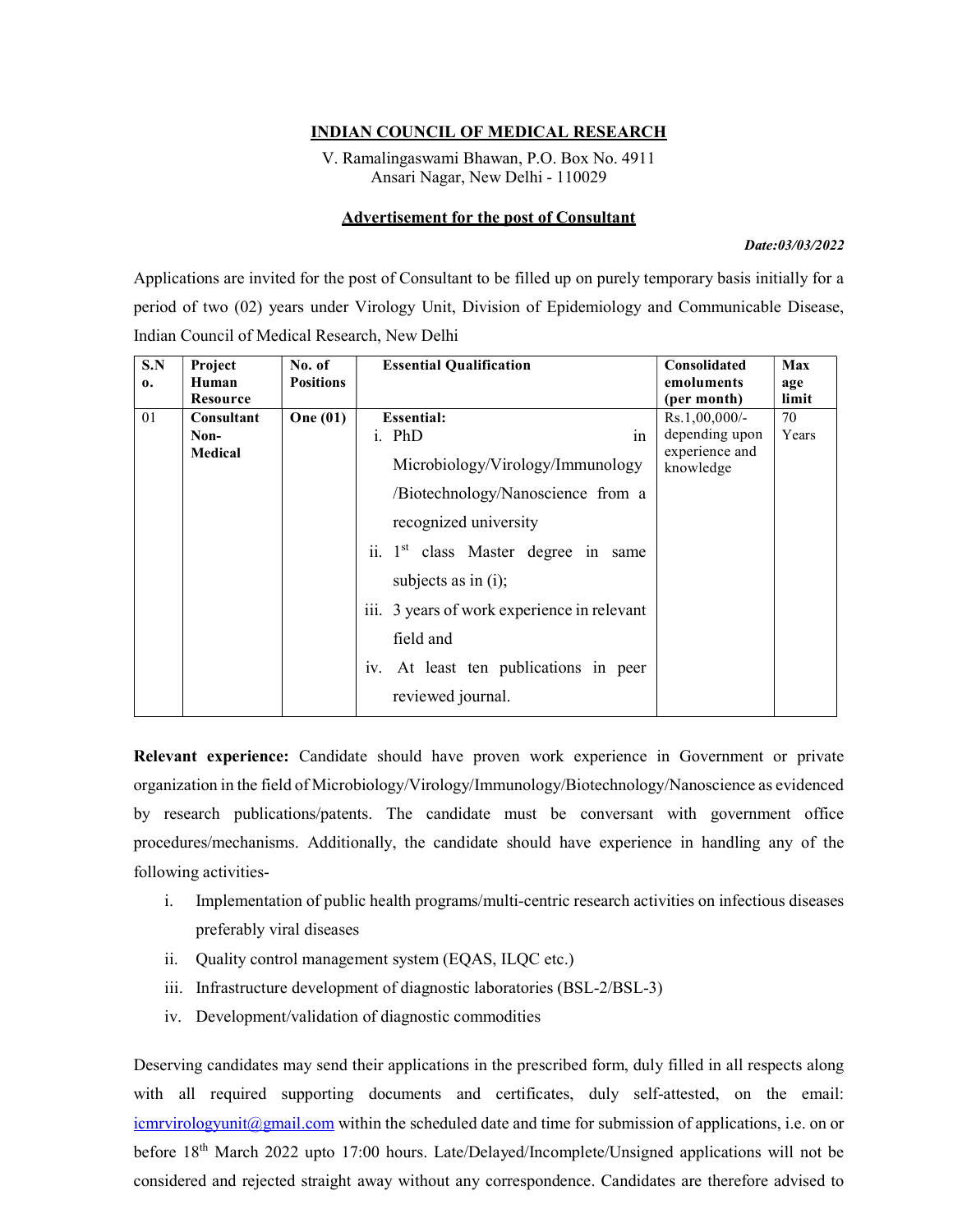## INDIAN COUNCIL OF MEDICAL RESEARCH

V. Ramalingaswami Bhawan, P.O. Box No. 4911 Ansari Nagar, New Delhi - 110029

## Advertisement for the post of Consultant

## Date:03/03/2022

Applications are invited for the post of Consultant to be filled up on purely temporary basis initially for a period of two (02) years under Virology Unit, Division of Epidemiology and Communicable Disease, Indian Council of Medical Research, New Delhi

| S.N<br>$\mathbf{0}$ | Project<br>Human<br>Resource  | No. of<br><b>Positions</b> | <b>Essential Qualification</b>                                                                                                                                                                                                                                                                                                          | Consolidated<br>emoluments<br>(per month)                         | Max<br>age<br>limit |
|---------------------|-------------------------------|----------------------------|-----------------------------------------------------------------------------------------------------------------------------------------------------------------------------------------------------------------------------------------------------------------------------------------------------------------------------------------|-------------------------------------------------------------------|---------------------|
| 01                  | Consultant<br>Non-<br>Medical | <b>One</b> (01)            | <b>Essential:</b><br>i. PhD<br>in<br>Microbiology/Virology/Immunology<br>/Biotechnology/Nanoscience from a<br>recognized university<br>ii. 1 <sup>st</sup> class Master degree in same<br>subjects as in (i);<br>iii. 3 years of work experience in relevant<br>field and<br>iv. At least ten publications in peer<br>reviewed journal. | $Rs.1,00,000/$ -<br>depending upon<br>experience and<br>knowledge | 70<br>Years         |

Relevant experience: Candidate should have proven work experience in Government or private organization in the field of Microbiology/Virology/Immunology/Biotechnology/Nanoscience as evidenced by research publications/patents. The candidate must be conversant with government office procedures/mechanisms. Additionally, the candidate should have experience in handling any of the following activities-

- i. Implementation of public health programs/multi-centric research activities on infectious diseases preferably viral diseases
- ii. Quality control management system (EQAS, ILQC etc.)
- iii. Infrastructure development of diagnostic laboratories (BSL-2/BSL-3)
- iv. Development/validation of diagnostic commodities

Deserving candidates may send their applications in the prescribed form, duly filled in all respects along with all required supporting documents and certificates, duly self-attested, on the email:  $icmrvirologvunit@g-mail.com$  within the scheduled date and time for submission of applications, i.e. on or before 18<sup>th</sup> March 2022 upto 17:00 hours. Late/Delayed/Incomplete/Unsigned applications will not be considered and rejected straight away without any correspondence. Candidates are therefore advised to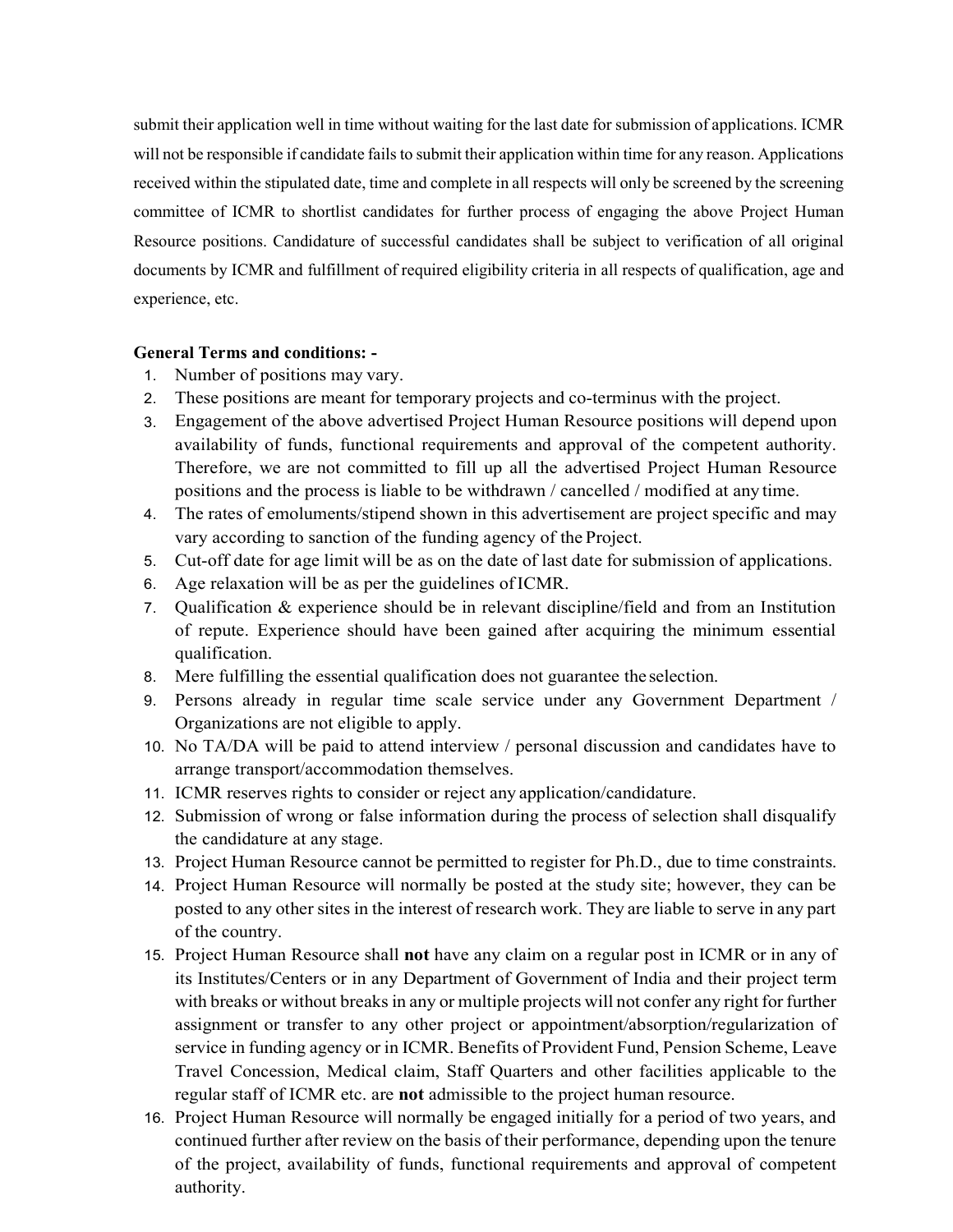submit their application well in time without waiting for the last date for submission of applications. ICMR will not be responsible if candidate fails to submit their application within time for any reason. Applications received within the stipulated date, time and complete in all respects will only be screened by the screening committee of ICMR to shortlist candidates for further process of engaging the above Project Human Resource positions. Candidature of successful candidates shall be subject to verification of all original documents by ICMR and fulfillment of required eligibility criteria in all respects of qualification, age and experience, etc.

## General Terms and conditions: -

- 1. Number of positions may vary.
- 2. These positions are meant for temporary projects and co-terminus with the project.
- 3. Engagement of the above advertised Project Human Resource positions will depend upon availability of funds, functional requirements and approval of the competent authority. Therefore, we are not committed to fill up all the advertised Project Human Resource positions and the process is liable to be withdrawn / cancelled / modified at any time.
- 4. The rates of emoluments/stipend shown in this advertisement are project specific and may vary according to sanction of the funding agency of the Project.
- 5. Cut-off date for age limit will be as on the date of last date for submission of applications.
- 6. Age relaxation will be as per the guidelines of ICMR.
- 7. Qualification & experience should be in relevant discipline/field and from an Institution of repute. Experience should have been gained after acquiring the minimum essential qualification.
- 8. Mere fulfilling the essential qualification does not guarantee the selection.
- 9. Persons already in regular time scale service under any Government Department / Organizations are not eligible to apply.
- 10. No TA/DA will be paid to attend interview / personal discussion and candidates have to arrange transport/accommodation themselves.
- 11. ICMR reserves rights to consider or reject any application/candidature.
- 12. Submission of wrong or false information during the process of selection shall disqualify the candidature at any stage.
- 13. Project Human Resource cannot be permitted to register for Ph.D., due to time constraints.
- 14. Project Human Resource will normally be posted at the study site; however, they can be posted to any other sites in the interest of research work. They are liable to serve in any part of the country.
- 15. Project Human Resource shall not have any claim on a regular post in ICMR or in any of its Institutes/Centers or in any Department of Government of India and their project term with breaks or without breaks in any or multiple projects will not confer any right for further assignment or transfer to any other project or appointment/absorption/regularization of service in funding agency or in ICMR. Benefits of Provident Fund, Pension Scheme, Leave Travel Concession, Medical claim, Staff Quarters and other facilities applicable to the regular staff of ICMR etc. are not admissible to the project human resource.
- 16. Project Human Resource will normally be engaged initially for a period of two years, and continued further after review on the basis of their performance, depending upon the tenure of the project, availability of funds, functional requirements and approval of competent authority.